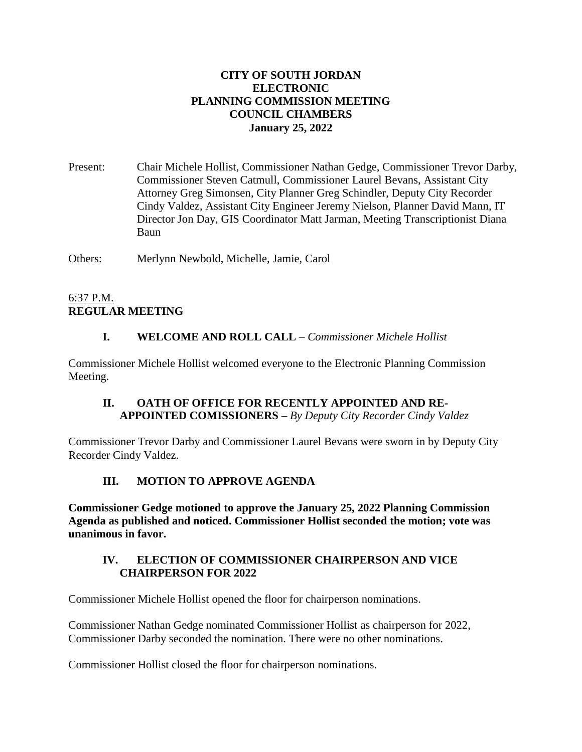#### **CITY OF SOUTH JORDAN ELECTRONIC PLANNING COMMISSION MEETING COUNCIL CHAMBERS January 25, 2022**

Present: Chair Michele Hollist, Commissioner Nathan Gedge, Commissioner Trevor Darby, Commissioner Steven Catmull, Commissioner Laurel Bevans, Assistant City Attorney Greg Simonsen, City Planner Greg Schindler, Deputy City Recorder Cindy Valdez, Assistant City Engineer Jeremy Nielson, Planner David Mann, IT Director Jon Day, GIS Coordinator Matt Jarman, Meeting Transcriptionist Diana Baun

Others: Merlynn Newbold, Michelle, Jamie, Carol

## 6:37 P.M. **REGULAR MEETING**

# **I. WELCOME AND ROLL CALL** – *Commissioner Michele Hollist*

Commissioner Michele Hollist welcomed everyone to the Electronic Planning Commission Meeting.

## **II. OATH OF OFFICE FOR RECENTLY APPOINTED AND RE-APPOINTED COMISSIONERS –** *By Deputy City Recorder Cindy Valdez*

Commissioner Trevor Darby and Commissioner Laurel Bevans were sworn in by Deputy City Recorder Cindy Valdez.

# **III. MOTION TO APPROVE AGENDA**

**Commissioner Gedge motioned to approve the January 25, 2022 Planning Commission Agenda as published and noticed. Commissioner Hollist seconded the motion; vote was unanimous in favor.**

#### **IV. ELECTION OF COMMISSIONER CHAIRPERSON AND VICE CHAIRPERSON FOR 2022**

Commissioner Michele Hollist opened the floor for chairperson nominations.

Commissioner Nathan Gedge nominated Commissioner Hollist as chairperson for 2022, Commissioner Darby seconded the nomination. There were no other nominations.

Commissioner Hollist closed the floor for chairperson nominations.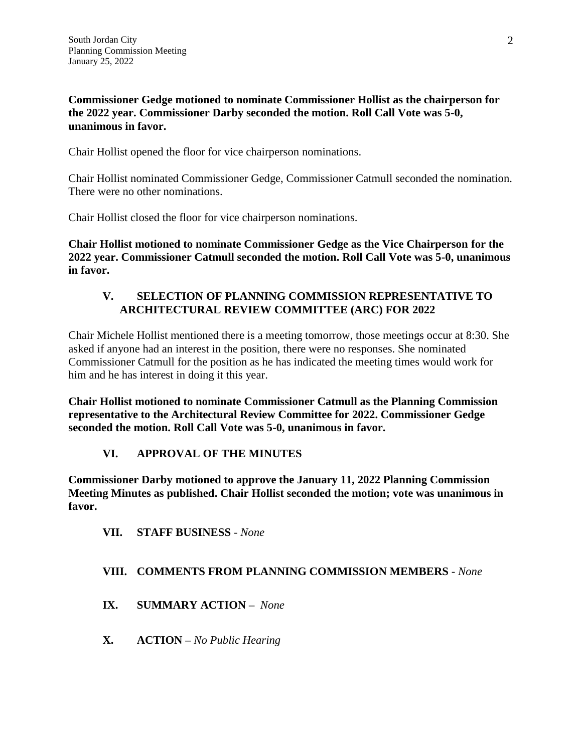**Commissioner Gedge motioned to nominate Commissioner Hollist as the chairperson for the 2022 year. Commissioner Darby seconded the motion. Roll Call Vote was 5-0, unanimous in favor.**

Chair Hollist opened the floor for vice chairperson nominations.

Chair Hollist nominated Commissioner Gedge, Commissioner Catmull seconded the nomination. There were no other nominations.

Chair Hollist closed the floor for vice chairperson nominations.

**Chair Hollist motioned to nominate Commissioner Gedge as the Vice Chairperson for the 2022 year. Commissioner Catmull seconded the motion. Roll Call Vote was 5-0, unanimous in favor.**

#### **V. SELECTION OF PLANNING COMMISSION REPRESENTATIVE TO ARCHITECTURAL REVIEW COMMITTEE (ARC) FOR 2022**

Chair Michele Hollist mentioned there is a meeting tomorrow, those meetings occur at 8:30. She asked if anyone had an interest in the position, there were no responses. She nominated Commissioner Catmull for the position as he has indicated the meeting times would work for him and he has interest in doing it this year.

**Chair Hollist motioned to nominate Commissioner Catmull as the Planning Commission representative to the Architectural Review Committee for 2022. Commissioner Gedge seconded the motion. Roll Call Vote was 5-0, unanimous in favor.**

# **VI. APPROVAL OF THE MINUTES**

**Commissioner Darby motioned to approve the January 11, 2022 Planning Commission Meeting Minutes as published. Chair Hollist seconded the motion; vote was unanimous in favor.**

**VII. STAFF BUSINESS** *- None*

## **VIII. COMMENTS FROM PLANNING COMMISSION MEMBERS** *- None*

- **IX. SUMMARY ACTION –** *None*
- **X. ACTION –** *No Public Hearing*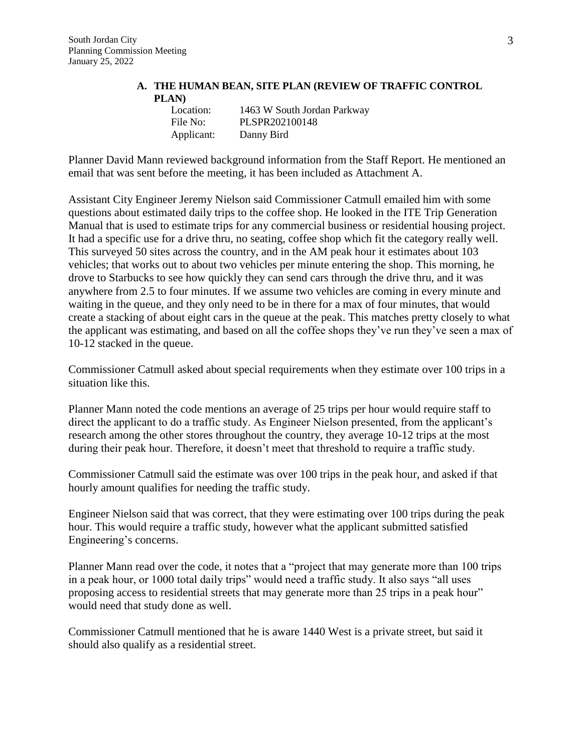#### **A. THE HUMAN BEAN, SITE PLAN (REVIEW OF TRAFFIC CONTROL PLAN)**

| Location:  | 1463 W South Jordan Parkway |
|------------|-----------------------------|
| File No:   | PLSPR202100148              |
| Applicant: | Danny Bird                  |

Planner David Mann reviewed background information from the Staff Report. He mentioned an email that was sent before the meeting, it has been included as Attachment A.

Assistant City Engineer Jeremy Nielson said Commissioner Catmull emailed him with some questions about estimated daily trips to the coffee shop. He looked in the ITE Trip Generation Manual that is used to estimate trips for any commercial business or residential housing project. It had a specific use for a drive thru, no seating, coffee shop which fit the category really well. This surveyed 50 sites across the country, and in the AM peak hour it estimates about 103 vehicles; that works out to about two vehicles per minute entering the shop. This morning, he drove to Starbucks to see how quickly they can send cars through the drive thru, and it was anywhere from 2.5 to four minutes. If we assume two vehicles are coming in every minute and waiting in the queue, and they only need to be in there for a max of four minutes, that would create a stacking of about eight cars in the queue at the peak. This matches pretty closely to what the applicant was estimating, and based on all the coffee shops they've run they've seen a max of 10-12 stacked in the queue.

Commissioner Catmull asked about special requirements when they estimate over 100 trips in a situation like this.

Planner Mann noted the code mentions an average of 25 trips per hour would require staff to direct the applicant to do a traffic study. As Engineer Nielson presented, from the applicant's research among the other stores throughout the country, they average 10-12 trips at the most during their peak hour. Therefore, it doesn't meet that threshold to require a traffic study.

Commissioner Catmull said the estimate was over 100 trips in the peak hour, and asked if that hourly amount qualifies for needing the traffic study.

Engineer Nielson said that was correct, that they were estimating over 100 trips during the peak hour. This would require a traffic study, however what the applicant submitted satisfied Engineering's concerns.

Planner Mann read over the code, it notes that a "project that may generate more than 100 trips in a peak hour, or 1000 total daily trips" would need a traffic study. It also says "all uses proposing access to residential streets that may generate more than 25 trips in a peak hour" would need that study done as well.

Commissioner Catmull mentioned that he is aware 1440 West is a private street, but said it should also qualify as a residential street.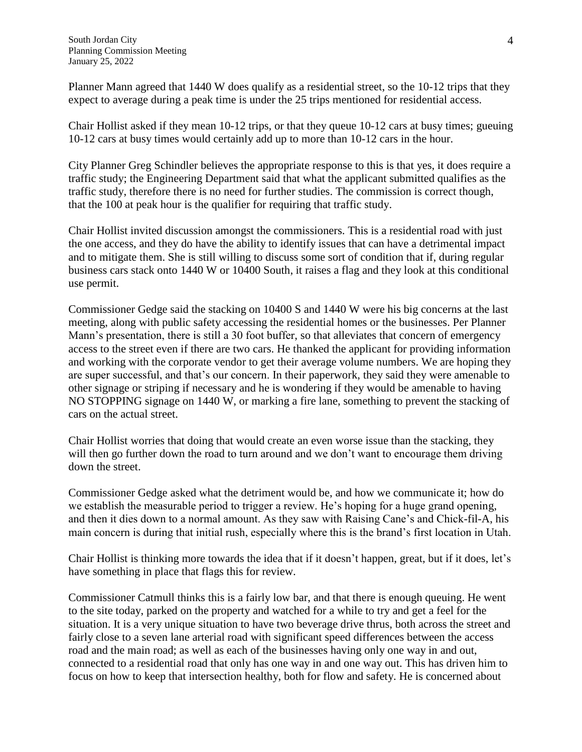Planner Mann agreed that 1440 W does qualify as a residential street, so the 10-12 trips that they expect to average during a peak time is under the 25 trips mentioned for residential access.

Chair Hollist asked if they mean 10-12 trips, or that they queue 10-12 cars at busy times; gueuing 10-12 cars at busy times would certainly add up to more than 10-12 cars in the hour.

City Planner Greg Schindler believes the appropriate response to this is that yes, it does require a traffic study; the Engineering Department said that what the applicant submitted qualifies as the traffic study, therefore there is no need for further studies. The commission is correct though, that the 100 at peak hour is the qualifier for requiring that traffic study.

Chair Hollist invited discussion amongst the commissioners. This is a residential road with just the one access, and they do have the ability to identify issues that can have a detrimental impact and to mitigate them. She is still willing to discuss some sort of condition that if, during regular business cars stack onto 1440 W or 10400 South, it raises a flag and they look at this conditional use permit.

Commissioner Gedge said the stacking on 10400 S and 1440 W were his big concerns at the last meeting, along with public safety accessing the residential homes or the businesses. Per Planner Mann's presentation, there is still a 30 foot buffer, so that alleviates that concern of emergency access to the street even if there are two cars. He thanked the applicant for providing information and working with the corporate vendor to get their average volume numbers. We are hoping they are super successful, and that's our concern. In their paperwork, they said they were amenable to other signage or striping if necessary and he is wondering if they would be amenable to having NO STOPPING signage on 1440 W, or marking a fire lane, something to prevent the stacking of cars on the actual street.

Chair Hollist worries that doing that would create an even worse issue than the stacking, they will then go further down the road to turn around and we don't want to encourage them driving down the street.

Commissioner Gedge asked what the detriment would be, and how we communicate it; how do we establish the measurable period to trigger a review. He's hoping for a huge grand opening, and then it dies down to a normal amount. As they saw with Raising Cane's and Chick-fil-A, his main concern is during that initial rush, especially where this is the brand's first location in Utah.

Chair Hollist is thinking more towards the idea that if it doesn't happen, great, but if it does, let's have something in place that flags this for review.

Commissioner Catmull thinks this is a fairly low bar, and that there is enough queuing. He went to the site today, parked on the property and watched for a while to try and get a feel for the situation. It is a very unique situation to have two beverage drive thrus, both across the street and fairly close to a seven lane arterial road with significant speed differences between the access road and the main road; as well as each of the businesses having only one way in and out, connected to a residential road that only has one way in and one way out. This has driven him to focus on how to keep that intersection healthy, both for flow and safety. He is concerned about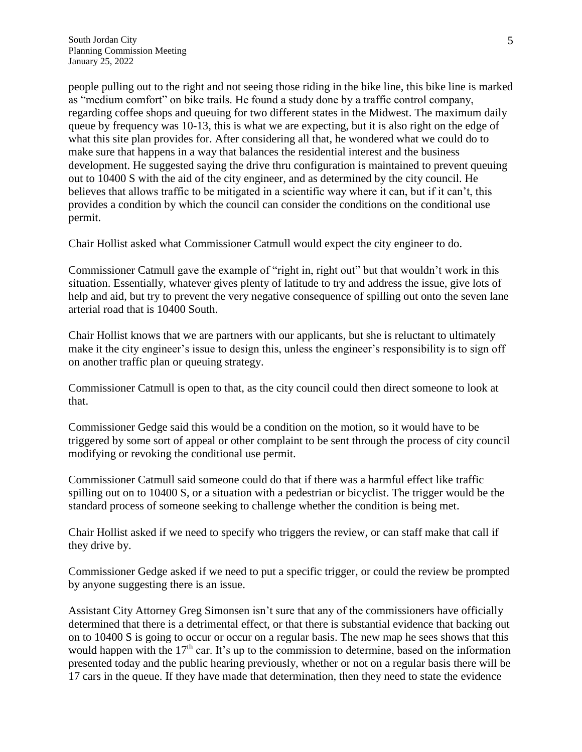people pulling out to the right and not seeing those riding in the bike line, this bike line is marked as "medium comfort" on bike trails. He found a study done by a traffic control company, regarding coffee shops and queuing for two different states in the Midwest. The maximum daily queue by frequency was 10-13, this is what we are expecting, but it is also right on the edge of what this site plan provides for. After considering all that, he wondered what we could do to make sure that happens in a way that balances the residential interest and the business development. He suggested saying the drive thru configuration is maintained to prevent queuing out to 10400 S with the aid of the city engineer, and as determined by the city council. He believes that allows traffic to be mitigated in a scientific way where it can, but if it can't, this provides a condition by which the council can consider the conditions on the conditional use permit.

Chair Hollist asked what Commissioner Catmull would expect the city engineer to do.

Commissioner Catmull gave the example of "right in, right out" but that wouldn't work in this situation. Essentially, whatever gives plenty of latitude to try and address the issue, give lots of help and aid, but try to prevent the very negative consequence of spilling out onto the seven lane arterial road that is 10400 South.

Chair Hollist knows that we are partners with our applicants, but she is reluctant to ultimately make it the city engineer's issue to design this, unless the engineer's responsibility is to sign off on another traffic plan or queuing strategy.

Commissioner Catmull is open to that, as the city council could then direct someone to look at that.

Commissioner Gedge said this would be a condition on the motion, so it would have to be triggered by some sort of appeal or other complaint to be sent through the process of city council modifying or revoking the conditional use permit.

Commissioner Catmull said someone could do that if there was a harmful effect like traffic spilling out on to 10400 S, or a situation with a pedestrian or bicyclist. The trigger would be the standard process of someone seeking to challenge whether the condition is being met.

Chair Hollist asked if we need to specify who triggers the review, or can staff make that call if they drive by.

Commissioner Gedge asked if we need to put a specific trigger, or could the review be prompted by anyone suggesting there is an issue.

Assistant City Attorney Greg Simonsen isn't sure that any of the commissioners have officially determined that there is a detrimental effect, or that there is substantial evidence that backing out on to 10400 S is going to occur or occur on a regular basis. The new map he sees shows that this would happen with the 17<sup>th</sup> car. It's up to the commission to determine, based on the information presented today and the public hearing previously, whether or not on a regular basis there will be 17 cars in the queue. If they have made that determination, then they need to state the evidence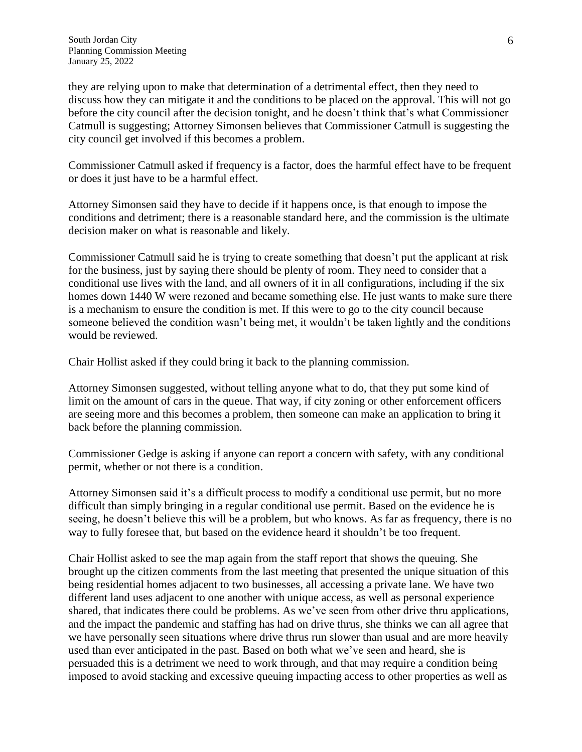they are relying upon to make that determination of a detrimental effect, then they need to discuss how they can mitigate it and the conditions to be placed on the approval. This will not go before the city council after the decision tonight, and he doesn't think that's what Commissioner Catmull is suggesting; Attorney Simonsen believes that Commissioner Catmull is suggesting the city council get involved if this becomes a problem.

Commissioner Catmull asked if frequency is a factor, does the harmful effect have to be frequent or does it just have to be a harmful effect.

Attorney Simonsen said they have to decide if it happens once, is that enough to impose the conditions and detriment; there is a reasonable standard here, and the commission is the ultimate decision maker on what is reasonable and likely.

Commissioner Catmull said he is trying to create something that doesn't put the applicant at risk for the business, just by saying there should be plenty of room. They need to consider that a conditional use lives with the land, and all owners of it in all configurations, including if the six homes down 1440 W were rezoned and became something else. He just wants to make sure there is a mechanism to ensure the condition is met. If this were to go to the city council because someone believed the condition wasn't being met, it wouldn't be taken lightly and the conditions would be reviewed.

Chair Hollist asked if they could bring it back to the planning commission.

Attorney Simonsen suggested, without telling anyone what to do, that they put some kind of limit on the amount of cars in the queue. That way, if city zoning or other enforcement officers are seeing more and this becomes a problem, then someone can make an application to bring it back before the planning commission.

Commissioner Gedge is asking if anyone can report a concern with safety, with any conditional permit, whether or not there is a condition.

Attorney Simonsen said it's a difficult process to modify a conditional use permit, but no more difficult than simply bringing in a regular conditional use permit. Based on the evidence he is seeing, he doesn't believe this will be a problem, but who knows. As far as frequency, there is no way to fully foresee that, but based on the evidence heard it shouldn't be too frequent.

Chair Hollist asked to see the map again from the staff report that shows the queuing. She brought up the citizen comments from the last meeting that presented the unique situation of this being residential homes adjacent to two businesses, all accessing a private lane. We have two different land uses adjacent to one another with unique access, as well as personal experience shared, that indicates there could be problems. As we've seen from other drive thru applications, and the impact the pandemic and staffing has had on drive thrus, she thinks we can all agree that we have personally seen situations where drive thrus run slower than usual and are more heavily used than ever anticipated in the past. Based on both what we've seen and heard, she is persuaded this is a detriment we need to work through, and that may require a condition being imposed to avoid stacking and excessive queuing impacting access to other properties as well as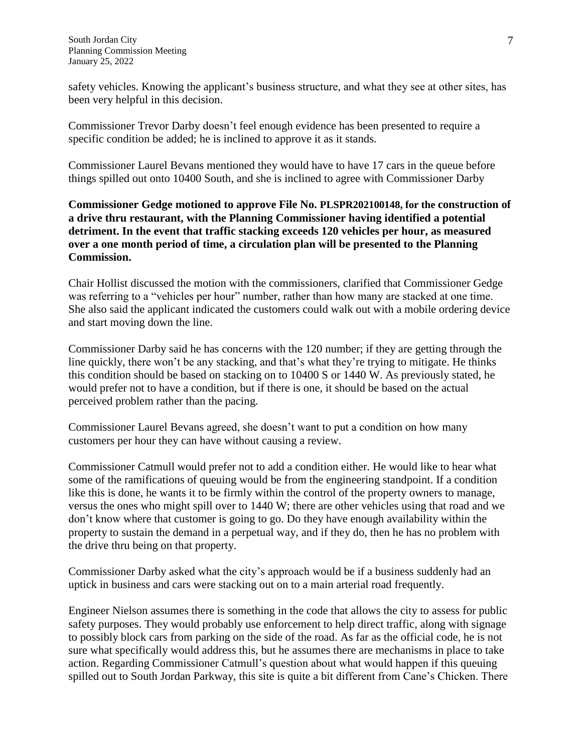safety vehicles. Knowing the applicant's business structure, and what they see at other sites, has been very helpful in this decision.

Commissioner Trevor Darby doesn't feel enough evidence has been presented to require a specific condition be added; he is inclined to approve it as it stands.

Commissioner Laurel Bevans mentioned they would have to have 17 cars in the queue before things spilled out onto 10400 South, and she is inclined to agree with Commissioner Darby

**Commissioner Gedge motioned to approve File No. PLSPR202100148, for the construction of a drive thru restaurant, with the Planning Commissioner having identified a potential detriment. In the event that traffic stacking exceeds 120 vehicles per hour, as measured over a one month period of time, a circulation plan will be presented to the Planning Commission.**

Chair Hollist discussed the motion with the commissioners, clarified that Commissioner Gedge was referring to a "vehicles per hour" number, rather than how many are stacked at one time. She also said the applicant indicated the customers could walk out with a mobile ordering device and start moving down the line.

Commissioner Darby said he has concerns with the 120 number; if they are getting through the line quickly, there won't be any stacking, and that's what they're trying to mitigate. He thinks this condition should be based on stacking on to 10400 S or 1440 W. As previously stated, he would prefer not to have a condition, but if there is one, it should be based on the actual perceived problem rather than the pacing.

Commissioner Laurel Bevans agreed, she doesn't want to put a condition on how many customers per hour they can have without causing a review.

Commissioner Catmull would prefer not to add a condition either. He would like to hear what some of the ramifications of queuing would be from the engineering standpoint. If a condition like this is done, he wants it to be firmly within the control of the property owners to manage, versus the ones who might spill over to 1440 W; there are other vehicles using that road and we don't know where that customer is going to go. Do they have enough availability within the property to sustain the demand in a perpetual way, and if they do, then he has no problem with the drive thru being on that property.

Commissioner Darby asked what the city's approach would be if a business suddenly had an uptick in business and cars were stacking out on to a main arterial road frequently.

Engineer Nielson assumes there is something in the code that allows the city to assess for public safety purposes. They would probably use enforcement to help direct traffic, along with signage to possibly block cars from parking on the side of the road. As far as the official code, he is not sure what specifically would address this, but he assumes there are mechanisms in place to take action. Regarding Commissioner Catmull's question about what would happen if this queuing spilled out to South Jordan Parkway, this site is quite a bit different from Cane's Chicken. There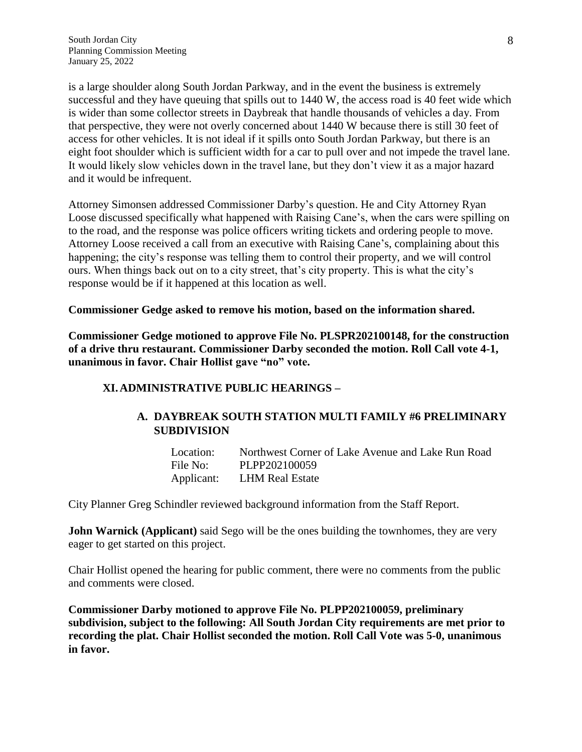is a large shoulder along South Jordan Parkway, and in the event the business is extremely successful and they have queuing that spills out to 1440 W, the access road is 40 feet wide which is wider than some collector streets in Daybreak that handle thousands of vehicles a day. From that perspective, they were not overly concerned about 1440 W because there is still 30 feet of access for other vehicles. It is not ideal if it spills onto South Jordan Parkway, but there is an eight foot shoulder which is sufficient width for a car to pull over and not impede the travel lane. It would likely slow vehicles down in the travel lane, but they don't view it as a major hazard and it would be infrequent.

Attorney Simonsen addressed Commissioner Darby's question. He and City Attorney Ryan Loose discussed specifically what happened with Raising Cane's, when the cars were spilling on to the road, and the response was police officers writing tickets and ordering people to move. Attorney Loose received a call from an executive with Raising Cane's, complaining about this happening; the city's response was telling them to control their property, and we will control ours. When things back out on to a city street, that's city property. This is what the city's response would be if it happened at this location as well.

**Commissioner Gedge asked to remove his motion, based on the information shared.**

**Commissioner Gedge motioned to approve File No. PLSPR202100148, for the construction of a drive thru restaurant. Commissioner Darby seconded the motion. Roll Call vote 4-1, unanimous in favor. Chair Hollist gave "no" vote.**

#### **XI.ADMINISTRATIVE PUBLIC HEARINGS –**

#### **A. DAYBREAK SOUTH STATION MULTI FAMILY #6 PRELIMINARY SUBDIVISION**

| Location:  | Northwest Corner of Lake Avenue and Lake Run Road |
|------------|---------------------------------------------------|
| File No:   | PLPP202100059                                     |
| Applicant: | LHM Real Estate                                   |

City Planner Greg Schindler reviewed background information from the Staff Report.

**John Warnick (Applicant)** said Sego will be the ones building the townhomes, they are very eager to get started on this project.

Chair Hollist opened the hearing for public comment, there were no comments from the public and comments were closed.

**Commissioner Darby motioned to approve File No. PLPP202100059, preliminary subdivision, subject to the following: All South Jordan City requirements are met prior to recording the plat. Chair Hollist seconded the motion. Roll Call Vote was 5-0, unanimous in favor.**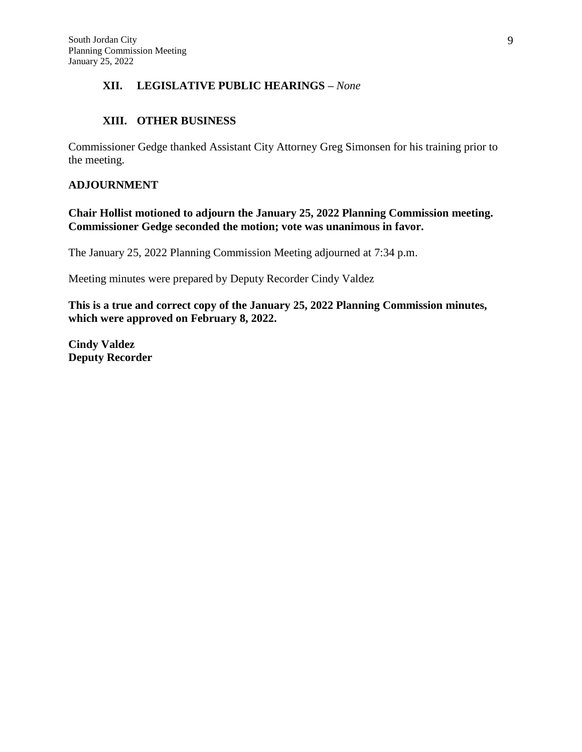## **XII. LEGISLATIVE PUBLIC HEARINGS –** *None*

#### **XIII. OTHER BUSINESS**

Commissioner Gedge thanked Assistant City Attorney Greg Simonsen for his training prior to the meeting.

#### **ADJOURNMENT**

**Chair Hollist motioned to adjourn the January 25, 2022 Planning Commission meeting. Commissioner Gedge seconded the motion; vote was unanimous in favor.**

The January 25, 2022 Planning Commission Meeting adjourned at 7:34 p.m.

Meeting minutes were prepared by Deputy Recorder Cindy Valdez

**This is a true and correct copy of the January 25, 2022 Planning Commission minutes, which were approved on February 8, 2022.**

**Cindy Valdez Deputy Recorder**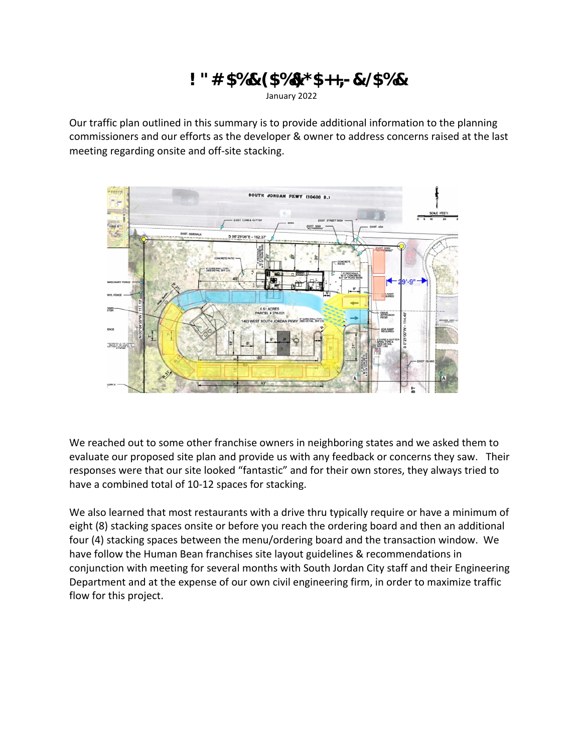# **!"#\$%&'(\$%&)\*\$++,-&./\$%&** January 2022

Our traffic plan outlined in this summary is to provide additional information to the planning commissioners and our efforts as the developer & owner to address concerns raised at the last meeting regarding onsite and off-site stacking.

We reached out to some other franchise owners in neighboring states and we asked them to evaluate our proposed site plan and provide us with any feedback or concerns they saw. Their responses were that our site looked "fantastic" and for their own stores, they always tried to have a combined total of 10-12 spaces for stacking.

We also learned that most restaurants with a drive thru typically require or have a minimum of eight (8) stacking spaces onsite or before you reach the ordering board and then an additional four (4) stacking spaces between the menu/ordering board and the transaction window. We have follow the Human Bean franchises site layout guidelines & recommendations in conjunction with meeting for several months with South Jordan City staff and their Engineering Department and at the expense of our own civil engineering firm, in order to maximize traffic flow for this project.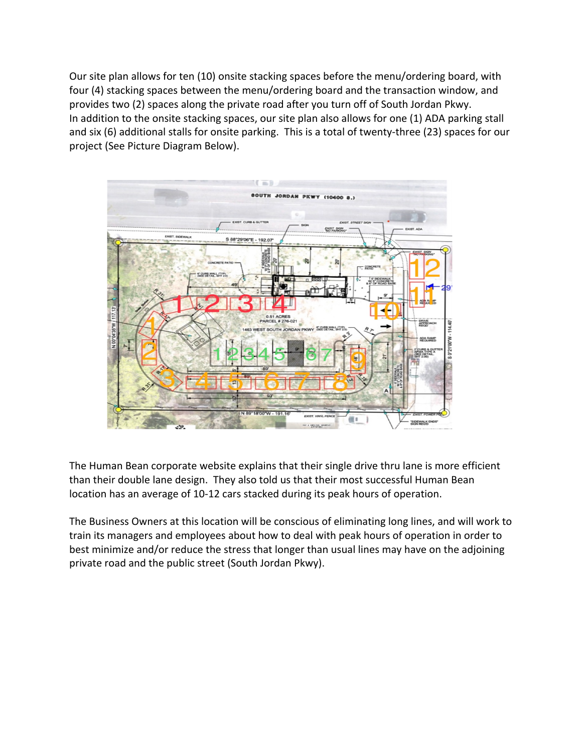Our site plan allows for ten (10) onsite stacking spaces before the menu/ordering board, with four (4) stacking spaces between the menu/ordering board and the transaction window, and provides two (2) spaces along the private road after you turn off of South Jordan Pkwy. In addition to the onsite stacking spaces, our site plan also allows for one (1) ADA parking stall and six (6) additional stalls for onsite parking. This is a total of twenty-three (23) spaces for our project (See Picture Diagram Below).



The Human Bean corporate website explains that their single drive thru lane is more efficient than their double lane design. They also told us that their most successful Human Bean location has an average of 10-12 cars stacked during its peak hours of operation.

The Business Owners at this location will be conscious of eliminating long lines, and will work to train its managers and employees about how to deal with peak hours of operation in order to best minimize and/or reduce the stress that longer than usual lines may have on the adjoining private road and the public street (South Jordan Pkwy).